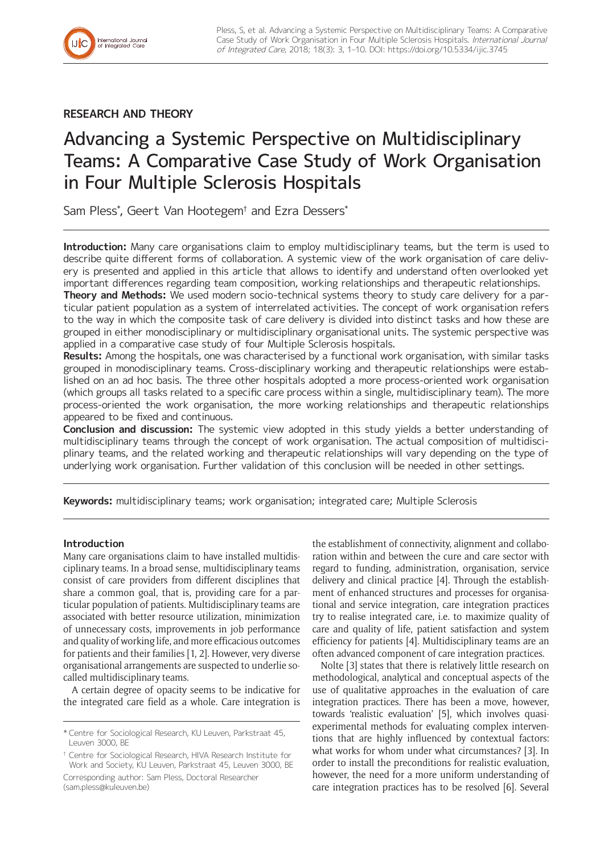

# **RESEARCH AND THEORY**

# Advancing a Systemic Perspective on Multidisciplinary Teams: A Comparative Case Study of Work Organisation in Four Multiple Sclerosis Hospitals

Sam Pless\* , Geert Van Hootegem† and Ezra Dessers\*

**Introduction:** Many care organisations claim to employ multidisciplinary teams, but the term is used to describe quite different forms of collaboration. A systemic view of the work organisation of care delivery is presented and applied in this article that allows to identify and understand often overlooked yet important differences regarding team composition, working relationships and therapeutic relationships.

**Theory and Methods:** We used modern socio-technical systems theory to study care delivery for a particular patient population as a system of interrelated activities. The concept of work organisation refers to the way in which the composite task of care delivery is divided into distinct tasks and how these are grouped in either monodisciplinary or multidisciplinary organisational units. The systemic perspective was applied in a comparative case study of four Multiple Sclerosis hospitals.

**Results:** Among the hospitals, one was characterised by a functional work organisation, with similar tasks grouped in monodisciplinary teams. Cross-disciplinary working and therapeutic relationships were established on an ad hoc basis. The three other hospitals adopted a more process-oriented work organisation (which groups all tasks related to a specific care process within a single, multidisciplinary team). The more process-oriented the work organisation, the more working relationships and therapeutic relationships appeared to be fixed and continuous.

**Conclusion and discussion:** The systemic view adopted in this study yields a better understanding of multidisciplinary teams through the concept of work organisation. The actual composition of multidisciplinary teams, and the related working and therapeutic relationships will vary depending on the type of underlying work organisation. Further validation of this conclusion will be needed in other settings.

**Keywords:** multidisciplinary teams; work organisation; integrated care; Multiple Sclerosis

# **Introduction**

Many care organisations claim to have installed multidisciplinary teams. In a broad sense, multidisciplinary teams consist of care providers from different disciplines that share a common goal, that is, providing care for a particular population of patients. Multidisciplinary teams are associated with better resource utilization, minimization of unnecessary costs, improvements in job performance and quality of working life, and more efficacious outcomes for patients and their families [1, 2]. However, very diverse organisational arrangements are suspected to underlie socalled multidisciplinary teams.

A certain degree of opacity seems to be indicative for the integrated care field as a whole. Care integration is the establishment of connectivity, alignment and collaboration within and between the cure and care sector with regard to funding, administration, organisation, service delivery and clinical practice [4]. Through the establishment of enhanced structures and processes for organisational and service integration, care integration practices try to realise integrated care, i.e. to maximize quality of care and quality of life, patient satisfaction and system efficiency for patients [4]. Multidisciplinary teams are an often advanced component of care integration practices.

Nolte [3] states that there is relatively little research on methodological, analytical and conceptual aspects of the use of qualitative approaches in the evaluation of care integration practices. There has been a move, however, towards 'realistic evaluation' [5], which involves quasiexperimental methods for evaluating complex interventions that are highly influenced by contextual factors: what works for whom under what circumstances? [3]. In order to install the preconditions for realistic evaluation, however, the need for a more uniform understanding of care integration practices has to be resolved [6]. Several

<sup>\*</sup> Centre for Sociological Research, KU Leuven, Parkstraat 45, Leuven 3000, BE

<sup>†</sup> Centre for Sociological Research, HIVA Research Institute for Work and Society, KU Leuven, Parkstraat 45, Leuven 3000, BE

Corresponding author: Sam Pless, Doctoral Researcher [\(sam.pless@kuleuven.be](mailto:sam.pless@kuleuven.be))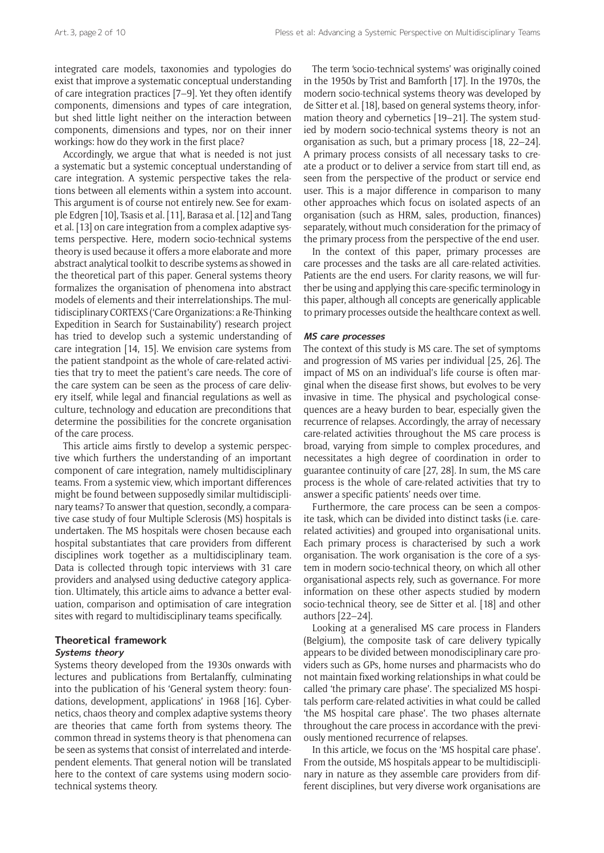integrated care models, taxonomies and typologies do exist that improve a systematic conceptual understanding of care integration practices [7–9]. Yet they often identify components, dimensions and types of care integration, but shed little light neither on the interaction between components, dimensions and types, nor on their inner workings: how do they work in the first place?

Accordingly, we argue that what is needed is not just a systematic but a systemic conceptual understanding of care integration. A systemic perspective takes the relations between all elements within a system into account. This argument is of course not entirely new. See for example Edgren [10], Tsasis et al. [11], Barasa et al. [12] and Tang et al. [13] on care integration from a complex adaptive systems perspective. Here, modern socio-technical systems theory is used because it offers a more elaborate and more abstract analytical toolkit to describe systems as showed in the theoretical part of this paper. General systems theory formalizes the organisation of phenomena into abstract models of elements and their interrelationships. The multidisciplinary CORTEXS ('Care Organizations: a Re-Thinking Expedition in Search for Sustainability') research project has tried to develop such a systemic understanding of care integration [14, 15]. We envision care systems from the patient standpoint as the whole of care-related activities that try to meet the patient's care needs. The core of the care system can be seen as the process of care delivery itself, while legal and financial regulations as well as culture, technology and education are preconditions that determine the possibilities for the concrete organisation of the care process.

This article aims firstly to develop a systemic perspective which furthers the understanding of an important component of care integration, namely multidisciplinary teams. From a systemic view, which important differences might be found between supposedly similar multidisciplinary teams? To answer that question, secondly, a comparative case study of four Multiple Sclerosis (MS) hospitals is undertaken. The MS hospitals were chosen because each hospital substantiates that care providers from different disciplines work together as a multidisciplinary team. Data is collected through topic interviews with 31 care providers and analysed using deductive category application. Ultimately, this article aims to advance a better evaluation, comparison and optimisation of care integration sites with regard to multidisciplinary teams specifically.

# **Theoretical framework**

#### **Systems theory**

Systems theory developed from the 1930s onwards with lectures and publications from Bertalanffy, culminating into the publication of his 'General system theory: foundations, development, applications' in 1968 [16]. Cybernetics, chaos theory and complex adaptive systems theory are theories that came forth from systems theory. The common thread in systems theory is that phenomena can be seen as systems that consist of interrelated and interdependent elements. That general notion will be translated here to the context of care systems using modern sociotechnical systems theory.

The term 'socio-technical systems' was originally coined in the 1950s by Trist and Bamforth [17]. In the 1970s, the modern socio-technical systems theory was developed by de Sitter et al. [18], based on general systems theory, information theory and cybernetics [19–21]. The system studied by modern socio-technical systems theory is not an organisation as such, but a primary process [18, 22–24]. A primary process consists of all necessary tasks to create a product or to deliver a service from start till end, as seen from the perspective of the product or service end user. This is a major difference in comparison to many other approaches which focus on isolated aspects of an organisation (such as HRM, sales, production, finances) separately, without much consideration for the primacy of the primary process from the perspective of the end user.

In the context of this paper, primary processes are care processes and the tasks are all care-related activities. Patients are the end users. For clarity reasons, we will further be using and applying this care-specific terminology in this paper, although all concepts are generically applicable to primary processes outside the healthcare context as well.

#### **MS care processes**

The context of this study is MS care. The set of symptoms and progression of MS varies per individual [25, 26]. The impact of MS on an individual's life course is often marginal when the disease first shows, but evolves to be very invasive in time. The physical and psychological consequences are a heavy burden to bear, especially given the recurrence of relapses. Accordingly, the array of necessary care-related activities throughout the MS care process is broad, varying from simple to complex procedures, and necessitates a high degree of coordination in order to guarantee continuity of care [27, 28]. In sum, the MS care process is the whole of care-related activities that try to answer a specific patients' needs over time.

Furthermore, the care process can be seen a composite task, which can be divided into distinct tasks (i.e. carerelated activities) and grouped into organisational units. Each primary process is characterised by such a work organisation. The work organisation is the core of a system in modern socio-technical theory, on which all other organisational aspects rely, such as governance. For more information on these other aspects studied by modern socio-technical theory, see de Sitter et al. [18] and other authors [22–24].

Looking at a generalised MS care process in Flanders (Belgium), the composite task of care delivery typically appears to be divided between monodisciplinary care providers such as GPs, home nurses and pharmacists who do not maintain fixed working relationships in what could be called 'the primary care phase'. The specialized MS hospitals perform care-related activities in what could be called 'the MS hospital care phase'. The two phases alternate throughout the care process in accordance with the previously mentioned recurrence of relapses.

In this article, we focus on the 'MS hospital care phase'. From the outside, MS hospitals appear to be multidisciplinary in nature as they assemble care providers from different disciplines, but very diverse work organisations are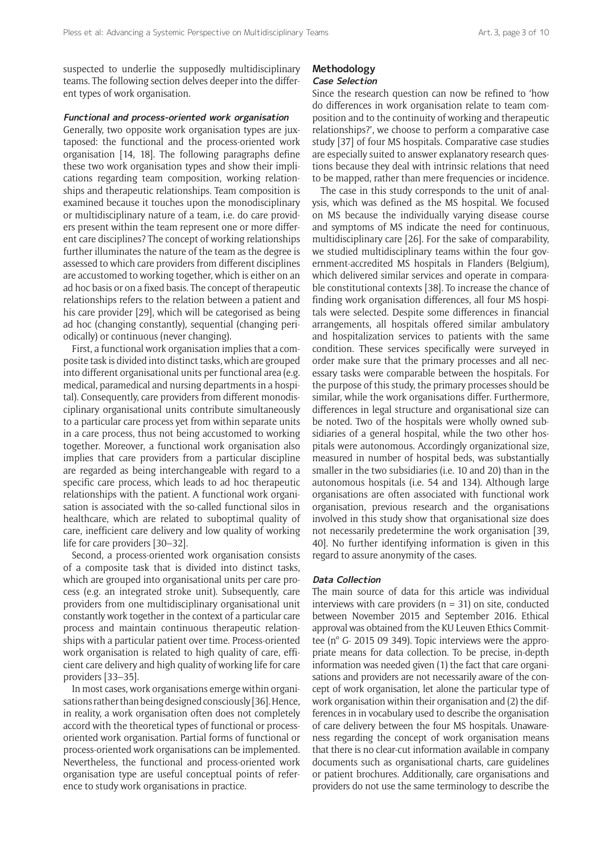suspected to underlie the supposedly multidisciplinary teams. The following section delves deeper into the different types of work organisation.

#### **Functional and process-oriented work organisation**

Generally, two opposite work organisation types are juxtaposed: the functional and the process-oriented work organisation [14, 18]. The following paragraphs define these two work organisation types and show their implications regarding team composition, working relationships and therapeutic relationships. Team composition is examined because it touches upon the monodisciplinary or multidisciplinary nature of a team, i.e. do care providers present within the team represent one or more different care disciplines? The concept of working relationships further illuminates the nature of the team as the degree is assessed to which care providers from different disciplines are accustomed to working together, which is either on an ad hoc basis or on a fixed basis. The concept of therapeutic relationships refers to the relation between a patient and his care provider [29], which will be categorised as being ad hoc (changing constantly), sequential (changing periodically) or continuous (never changing).

First, a functional work organisation implies that a composite task is divided into distinct tasks, which are grouped into different organisational units per functional area (e.g. medical, paramedical and nursing departments in a hospital). Consequently, care providers from different monodisciplinary organisational units contribute simultaneously to a particular care process yet from within separate units in a care process, thus not being accustomed to working together. Moreover, a functional work organisation also implies that care providers from a particular discipline are regarded as being interchangeable with regard to a specific care process, which leads to ad hoc therapeutic relationships with the patient. A functional work organisation is associated with the so-called functional silos in healthcare, which are related to suboptimal quality of care, inefficient care delivery and low quality of working life for care providers [30–32].

Second, a process-oriented work organisation consists of a composite task that is divided into distinct tasks, which are grouped into organisational units per care process (e.g. an integrated stroke unit). Subsequently, care providers from one multidisciplinary organisational unit constantly work together in the context of a particular care process and maintain continuous therapeutic relationships with a particular patient over time. Process-oriented work organisation is related to high quality of care, efficient care delivery and high quality of working life for care providers [33–35].

In most cases, work organisations emerge within organisations rather than being designed consciously [36]. Hence, in reality, a work organisation often does not completely accord with the theoretical types of functional or processoriented work organisation. Partial forms of functional or process-oriented work organisations can be implemented. Nevertheless, the functional and process-oriented work organisation type are useful conceptual points of reference to study work organisations in practice.

## **Methodology**

# **Case Selection**

Since the research question can now be refined to 'how do differences in work organisation relate to team composition and to the continuity of working and therapeutic relationships?', we choose to perform a comparative case study [37] of four MS hospitals. Comparative case studies are especially suited to answer explanatory research questions because they deal with intrinsic relations that need to be mapped, rather than mere frequencies or incidence.

The case in this study corresponds to the unit of analysis, which was defined as the MS hospital. We focused on MS because the individually varying disease course and symptoms of MS indicate the need for continuous, multidisciplinary care [26]. For the sake of comparability, we studied multidisciplinary teams within the four government-accredited MS hospitals in Flanders (Belgium), which delivered similar services and operate in comparable constitutional contexts [38]. To increase the chance of finding work organisation differences, all four MS hospitals were selected. Despite some differences in financial arrangements, all hospitals offered similar ambulatory and hospitalization services to patients with the same condition. These services specifically were surveyed in order make sure that the primary processes and all necessary tasks were comparable between the hospitals. For the purpose of this study, the primary processes should be similar, while the work organisations differ. Furthermore, differences in legal structure and organisational size can be noted. Two of the hospitals were wholly owned subsidiaries of a general hospital, while the two other hospitals were autonomous. Accordingly organizational size, measured in number of hospital beds, was substantially smaller in the two subsidiaries (i.e. 10 and 20) than in the autonomous hospitals (i.e. 54 and 134). Although large organisations are often associated with functional work organisation, previous research and the organisations involved in this study show that organisational size does not necessarily predetermine the work organisation [39, 40]. No further identifying information is given in this regard to assure anonymity of the cases.

#### **Data Collection**

The main source of data for this article was individual interviews with care providers ( $n = 31$ ) on site, conducted between November 2015 and September 2016. Ethical approval was obtained from the KU Leuven Ethics Committee (nº G- 2015 09 349). Topic interviews were the appropriate means for data collection. To be precise, in-depth information was needed given (1) the fact that care organisations and providers are not necessarily aware of the concept of work organisation, let alone the particular type of work organisation within their organisation and (2) the differences in in vocabulary used to describe the organisation of care delivery between the four MS hospitals. Unawareness regarding the concept of work organisation means that there is no clear-cut information available in company documents such as organisational charts, care guidelines or patient brochures. Additionally, care organisations and providers do not use the same terminology to describe the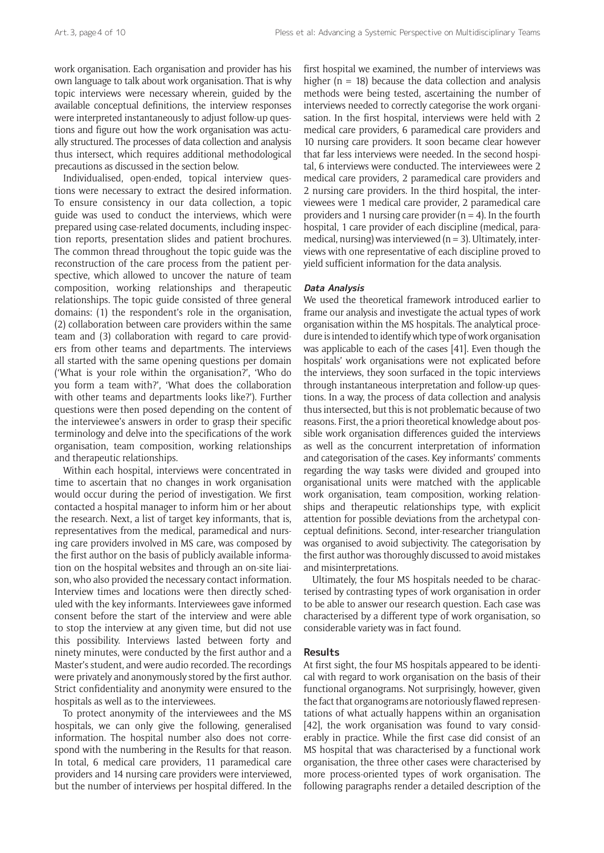work organisation. Each organisation and provider has his own language to talk about work organisation. That is why topic interviews were necessary wherein, guided by the available conceptual definitions, the interview responses were interpreted instantaneously to adjust follow-up questions and figure out how the work organisation was actually structured. The processes of data collection and analysis thus intersect, which requires additional methodological precautions as discussed in the section below.

Individualised, open-ended, topical interview questions were necessary to extract the desired information. To ensure consistency in our data collection, a topic guide was used to conduct the interviews, which were prepared using case-related documents, including inspection reports, presentation slides and patient brochures. The common thread throughout the topic guide was the reconstruction of the care process from the patient perspective, which allowed to uncover the nature of team composition, working relationships and therapeutic relationships. The topic guide consisted of three general domains: (1) the respondent's role in the organisation, (2) collaboration between care providers within the same team and (3) collaboration with regard to care providers from other teams and departments. The interviews all started with the same opening questions per domain ('What is your role within the organisation?', 'Who do you form a team with?', 'What does the collaboration with other teams and departments looks like?'). Further questions were then posed depending on the content of the interviewee's answers in order to grasp their specific terminology and delve into the specifications of the work organisation, team composition, working relationships and therapeutic relationships.

Within each hospital, interviews were concentrated in time to ascertain that no changes in work organisation would occur during the period of investigation. We first contacted a hospital manager to inform him or her about the research. Next, a list of target key informants, that is, representatives from the medical, paramedical and nursing care providers involved in MS care, was composed by the first author on the basis of publicly available information on the hospital websites and through an on-site liaison, who also provided the necessary contact information. Interview times and locations were then directly scheduled with the key informants. Interviewees gave informed consent before the start of the interview and were able to stop the interview at any given time, but did not use this possibility. Interviews lasted between forty and ninety minutes, were conducted by the first author and a Master's student, and were audio recorded. The recordings were privately and anonymously stored by the first author. Strict confidentiality and anonymity were ensured to the hospitals as well as to the interviewees.

To protect anonymity of the interviewees and the MS hospitals, we can only give the following, generalised information. The hospital number also does not correspond with the numbering in the Results for that reason. In total, 6 medical care providers, 11 paramedical care providers and 14 nursing care providers were interviewed, but the number of interviews per hospital differed. In the

first hospital we examined, the number of interviews was higher ( $n = 18$ ) because the data collection and analysis methods were being tested, ascertaining the number of interviews needed to correctly categorise the work organisation. In the first hospital, interviews were held with 2 medical care providers, 6 paramedical care providers and 10 nursing care providers. It soon became clear however that far less interviews were needed. In the second hospital, 6 interviews were conducted. The interviewees were 2 medical care providers, 2 paramedical care providers and 2 nursing care providers. In the third hospital, the interviewees were 1 medical care provider, 2 paramedical care providers and 1 nursing care provider ( $n = 4$ ). In the fourth hospital, 1 care provider of each discipline (medical, paramedical, nursing) was interviewed ( $n = 3$ ). Ultimately, interviews with one representative of each discipline proved to yield sufficient information for the data analysis.

#### **Data Analysis**

We used the theoretical framework introduced earlier to frame our analysis and investigate the actual types of work organisation within the MS hospitals. The analytical procedure is intended to identify which type of work organisation was applicable to each of the cases [41]. Even though the hospitals' work organisations were not explicated before the interviews, they soon surfaced in the topic interviews through instantaneous interpretation and follow-up questions. In a way, the process of data collection and analysis thus intersected, but this is not problematic because of two reasons. First, the a priori theoretical knowledge about possible work organisation differences guided the interviews as well as the concurrent interpretation of information and categorisation of the cases. Key informants' comments regarding the way tasks were divided and grouped into organisational units were matched with the applicable work organisation, team composition, working relationships and therapeutic relationships type, with explicit attention for possible deviations from the archetypal conceptual definitions. Second, inter-researcher triangulation was organised to avoid subjectivity. The categorisation by the first author was thoroughly discussed to avoid mistakes and misinterpretations.

Ultimately, the four MS hospitals needed to be characterised by contrasting types of work organisation in order to be able to answer our research question. Each case was characterised by a different type of work organisation, so considerable variety was in fact found.

#### **Results**

At first sight, the four MS hospitals appeared to be identical with regard to work organisation on the basis of their functional organograms. Not surprisingly, however, given the fact that organograms are notoriously flawed representations of what actually happens within an organisation [42], the work organisation was found to vary considerably in practice. While the first case did consist of an MS hospital that was characterised by a functional work organisation, the three other cases were characterised by more process-oriented types of work organisation. The following paragraphs render a detailed description of the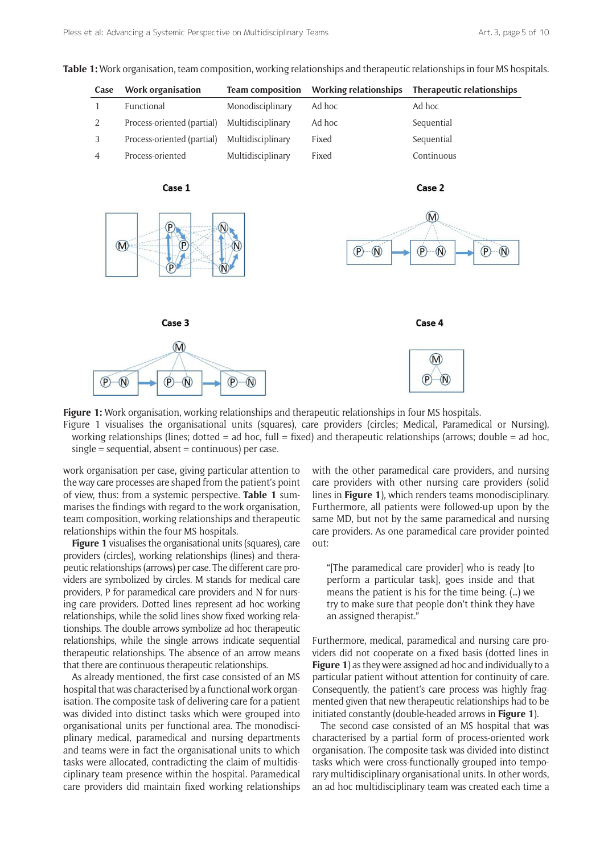| Case | <b>Work organisation</b>   | <b>Team composition</b> | Working relationships | Therapeutic relationships |
|------|----------------------------|-------------------------|-----------------------|---------------------------|
|      | Functional                 | Monodisciplinary        | Ad hoc                | Ad hoc                    |
| 2    | Process-oriented (partial) | Multidisciplinary       | Ad hoc                | Sequential                |
| 3    | Process-oriented (partial) | Multidisciplinary       | Fixed                 | Sequential                |
| 4    | Process-oriented           | Multidisciplinary       | Fixed                 | Continuous                |
|      |                            |                         |                       |                           |
|      | Case 1                     |                         |                       | Case 2                    |

**Table 1:** Work organisation, team composition, working relationships and therapeutic relationships in four MS hospitals.



**Figure 1:** Work organisation, working relationships and therapeutic relationships in four MS hospitals.

Figure 1 visualises the organisational units (squares), care providers (circles; Medical, Paramedical or Nursing), working relationships (lines; dotted = ad hoc, full = fixed) and therapeutic relationships (arrows; double = ad hoc,  $single = sequential, absent = continuous)$  per case.

work organisation per case, giving particular attention to the way care processes are shaped from the patient's point of view, thus: from a systemic perspective. **Table 1** summarises the findings with regard to the work organisation, team composition, working relationships and therapeutic relationships within the four MS hospitals.

**Figure 1** visualises the organisational units (squares), care providers (circles), working relationships (lines) and therapeutic relationships (arrows) per case. The different care providers are symbolized by circles. M stands for medical care providers, P for paramedical care providers and N for nursing care providers. Dotted lines represent ad hoc working relationships, while the solid lines show fixed working relationships. The double arrows symbolize ad hoc therapeutic relationships, while the single arrows indicate sequential therapeutic relationships. The absence of an arrow means that there are continuous therapeutic relationships.

As already mentioned, the first case consisted of an MS hospital that was characterised by a functional work organisation. The composite task of delivering care for a patient was divided into distinct tasks which were grouped into organisational units per functional area. The monodisciplinary medical, paramedical and nursing departments and teams were in fact the organisational units to which tasks were allocated, contradicting the claim of multidisciplinary team presence within the hospital. Paramedical care providers did maintain fixed working relationships with the other paramedical care providers, and nursing care providers with other nursing care providers (solid lines in **Figure 1**), which renders teams monodisciplinary. Furthermore, all patients were followed-up upon by the same MD, but not by the same paramedical and nursing care providers. As one paramedical care provider pointed out:

"[The paramedical care provider] who is ready [to perform a particular task], goes inside and that means the patient is his for the time being. (…) we try to make sure that people don't think they have an assigned therapist."

Furthermore, medical, paramedical and nursing care providers did not cooperate on a fixed basis (dotted lines in **Figure 1**) as they were assigned ad hoc and individually to a particular patient without attention for continuity of care. Consequently, the patient's care process was highly fragmented given that new therapeutic relationships had to be initiated constantly (double-headed arrows in **Figure 1**).

The second case consisted of an MS hospital that was characterised by a partial form of process-oriented work organisation. The composite task was divided into distinct tasks which were cross-functionally grouped into temporary multidisciplinary organisational units. In other words, an ad hoc multidisciplinary team was created each time a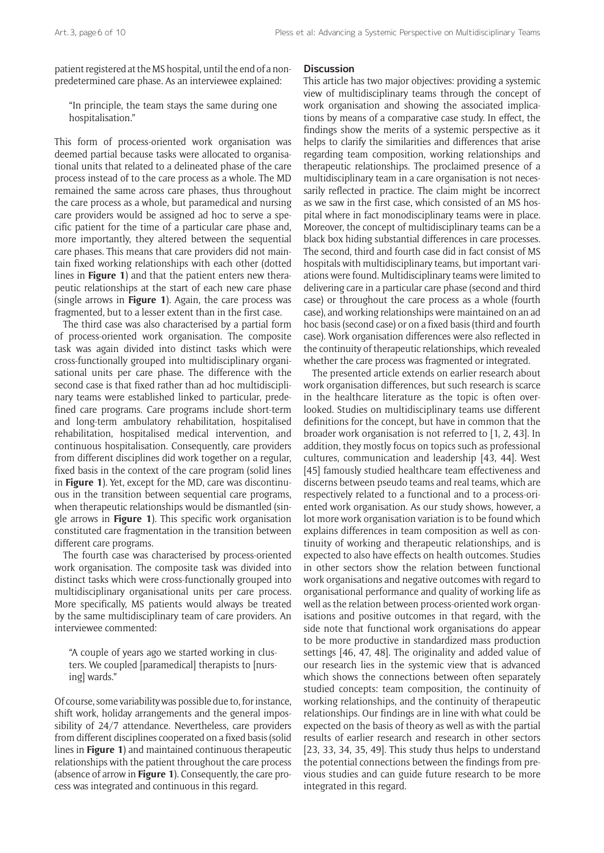patient registered at the MS hospital, until the end of a nonpredetermined care phase. As an interviewee explained:

"In principle, the team stays the same during one hospitalisation."

This form of process-oriented work organisation was deemed partial because tasks were allocated to organisational units that related to a delineated phase of the care process instead of to the care process as a whole. The MD remained the same across care phases, thus throughout the care process as a whole, but paramedical and nursing care providers would be assigned ad hoc to serve a specific patient for the time of a particular care phase and, more importantly, they altered between the sequential care phases. This means that care providers did not maintain fixed working relationships with each other (dotted lines in **Figure 1**) and that the patient enters new therapeutic relationships at the start of each new care phase (single arrows in **Figure 1**). Again, the care process was fragmented, but to a lesser extent than in the first case.

The third case was also characterised by a partial form of process-oriented work organisation. The composite task was again divided into distinct tasks which were cross-functionally grouped into multidisciplinary organisational units per care phase. The difference with the second case is that fixed rather than ad hoc multidisciplinary teams were established linked to particular, predefined care programs. Care programs include short-term and long-term ambulatory rehabilitation, hospitalised rehabilitation, hospitalised medical intervention, and continuous hospitalisation. Consequently, care providers from different disciplines did work together on a regular, fixed basis in the context of the care program (solid lines in **Figure 1**). Yet, except for the MD, care was discontinuous in the transition between sequential care programs, when therapeutic relationships would be dismantled (single arrows in **Figure 1**). This specific work organisation constituted care fragmentation in the transition between different care programs.

The fourth case was characterised by process-oriented work organisation. The composite task was divided into distinct tasks which were cross-functionally grouped into multidisciplinary organisational units per care process. More specifically, MS patients would always be treated by the same multidisciplinary team of care providers. An interviewee commented:

"A couple of years ago we started working in clusters. We coupled [paramedical] therapists to [nursing] wards."

Of course, some variability was possible due to, for instance, shift work, holiday arrangements and the general impossibility of 24/7 attendance. Nevertheless, care providers from different disciplines cooperated on a fixed basis (solid lines in **Figure 1**) and maintained continuous therapeutic relationships with the patient throughout the care process (absence of arrow in **Figure 1**). Consequently, the care process was integrated and continuous in this regard.

#### **Discussion**

This article has two major objectives: providing a systemic view of multidisciplinary teams through the concept of work organisation and showing the associated implications by means of a comparative case study. In effect, the findings show the merits of a systemic perspective as it helps to clarify the similarities and differences that arise regarding team composition, working relationships and therapeutic relationships. The proclaimed presence of a multidisciplinary team in a care organisation is not necessarily reflected in practice. The claim might be incorrect as we saw in the first case, which consisted of an MS hospital where in fact monodisciplinary teams were in place. Moreover, the concept of multidisciplinary teams can be a black box hiding substantial differences in care processes. The second, third and fourth case did in fact consist of MS hospitals with multidisciplinary teams, but important variations were found. Multidisciplinary teams were limited to delivering care in a particular care phase (second and third case) or throughout the care process as a whole (fourth case), and working relationships were maintained on an ad hoc basis (second case) or on a fixed basis (third and fourth case). Work organisation differences were also reflected in the continuity of therapeutic relationships, which revealed whether the care process was fragmented or integrated.

The presented article extends on earlier research about work organisation differences, but such research is scarce in the healthcare literature as the topic is often overlooked. Studies on multidisciplinary teams use different definitions for the concept, but have in common that the broader work organisation is not referred to [1, 2, 43]. In addition, they mostly focus on topics such as professional cultures, communication and leadership [43, 44]. West [45] famously studied healthcare team effectiveness and discerns between pseudo teams and real teams, which are respectively related to a functional and to a process-oriented work organisation. As our study shows, however, a lot more work organisation variation is to be found which explains differences in team composition as well as continuity of working and therapeutic relationships, and is expected to also have effects on health outcomes. Studies in other sectors show the relation between functional work organisations and negative outcomes with regard to organisational performance and quality of working life as well as the relation between process-oriented work organisations and positive outcomes in that regard, with the side note that functional work organisations do appear to be more productive in standardized mass production settings [46, 47, 48]. The originality and added value of our research lies in the systemic view that is advanced which shows the connections between often separately studied concepts: team composition, the continuity of working relationships, and the continuity of therapeutic relationships. Our findings are in line with what could be expected on the basis of theory as well as with the partial results of earlier research and research in other sectors [23, 33, 34, 35, 49]. This study thus helps to understand the potential connections between the findings from previous studies and can guide future research to be more integrated in this regard.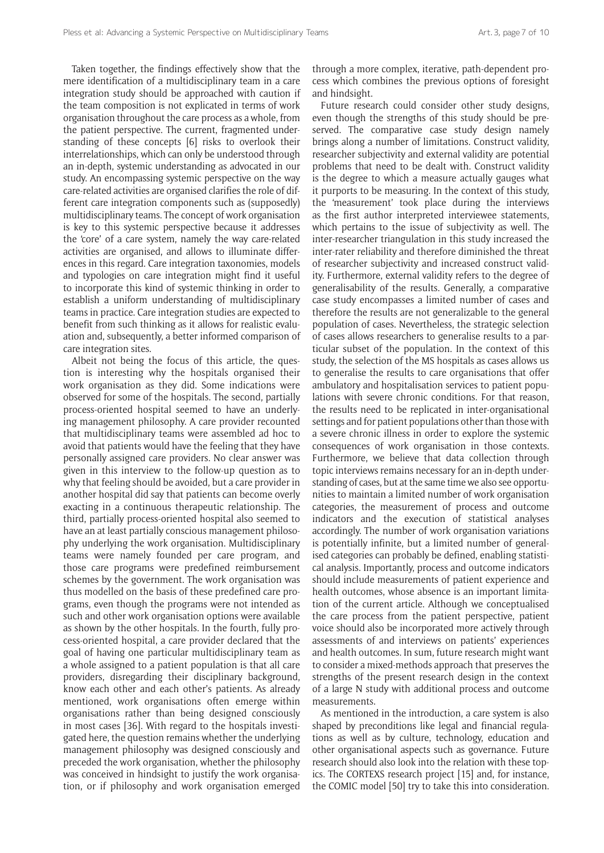Taken together, the findings effectively show that the mere identification of a multidisciplinary team in a care integration study should be approached with caution if the team composition is not explicated in terms of work organisation throughout the care process as a whole, from the patient perspective. The current, fragmented understanding of these concepts [6] risks to overlook their interrelationships, which can only be understood through an in-depth, systemic understanding as advocated in our study. An encompassing systemic perspective on the way care-related activities are organised clarifies the role of different care integration components such as (supposedly) multidisciplinary teams. The concept of work organisation is key to this systemic perspective because it addresses the 'core' of a care system, namely the way care-related activities are organised, and allows to illuminate differences in this regard. Care integration taxonomies, models and typologies on care integration might find it useful to incorporate this kind of systemic thinking in order to establish a uniform understanding of multidisciplinary teams in practice. Care integration studies are expected to benefit from such thinking as it allows for realistic evaluation and, subsequently, a better informed comparison of care integration sites.

Albeit not being the focus of this article, the question is interesting why the hospitals organised their work organisation as they did. Some indications were observed for some of the hospitals. The second, partially process-oriented hospital seemed to have an underlying management philosophy. A care provider recounted that multidisciplinary teams were assembled ad hoc to avoid that patients would have the feeling that they have personally assigned care providers. No clear answer was given in this interview to the follow-up question as to why that feeling should be avoided, but a care provider in another hospital did say that patients can become overly exacting in a continuous therapeutic relationship. The third, partially process-oriented hospital also seemed to have an at least partially conscious management philosophy underlying the work organisation. Multidisciplinary teams were namely founded per care program, and those care programs were predefined reimbursement schemes by the government. The work organisation was thus modelled on the basis of these predefined care programs, even though the programs were not intended as such and other work organisation options were available as shown by the other hospitals. In the fourth, fully process-oriented hospital, a care provider declared that the goal of having one particular multidisciplinary team as a whole assigned to a patient population is that all care providers, disregarding their disciplinary background, know each other and each other's patients. As already mentioned, work organisations often emerge within organisations rather than being designed consciously in most cases [36]. With regard to the hospitals investigated here, the question remains whether the underlying management philosophy was designed consciously and preceded the work organisation, whether the philosophy was conceived in hindsight to justify the work organisation, or if philosophy and work organisation emerged

through a more complex, iterative, path-dependent process which combines the previous options of foresight and hindsight.

Future research could consider other study designs, even though the strengths of this study should be preserved. The comparative case study design namely brings along a number of limitations. Construct validity, researcher subjectivity and external validity are potential problems that need to be dealt with. Construct validity is the degree to which a measure actually gauges what it purports to be measuring. In the context of this study, the 'measurement' took place during the interviews as the first author interpreted interviewee statements, which pertains to the issue of subjectivity as well. The inter-researcher triangulation in this study increased the inter-rater reliability and therefore diminished the threat of researcher subjectivity and increased construct validity. Furthermore, external validity refers to the degree of generalisability of the results. Generally, a comparative case study encompasses a limited number of cases and therefore the results are not generalizable to the general population of cases. Nevertheless, the strategic selection of cases allows researchers to generalise results to a particular subset of the population. In the context of this study, the selection of the MS hospitals as cases allows us to generalise the results to care organisations that offer ambulatory and hospitalisation services to patient populations with severe chronic conditions. For that reason, the results need to be replicated in inter-organisational settings and for patient populations other than those with a severe chronic illness in order to explore the systemic consequences of work organisation in those contexts. Furthermore, we believe that data collection through topic interviews remains necessary for an in-depth understanding of cases, but at the same time we also see opportunities to maintain a limited number of work organisation categories, the measurement of process and outcome indicators and the execution of statistical analyses accordingly. The number of work organisation variations is potentially infinite, but a limited number of generalised categories can probably be defined, enabling statistical analysis. Importantly, process and outcome indicators should include measurements of patient experience and health outcomes, whose absence is an important limitation of the current article. Although we conceptualised the care process from the patient perspective, patient voice should also be incorporated more actively through assessments of and interviews on patients' experiences and health outcomes. In sum, future research might want to consider a mixed-methods approach that preserves the strengths of the present research design in the context of a large N study with additional process and outcome measurements.

As mentioned in the introduction, a care system is also shaped by preconditions like legal and financial regulations as well as by culture, technology, education and other organisational aspects such as governance. Future research should also look into the relation with these topics. The CORTEXS research project [15] and, for instance, the COMIC model [50] try to take this into consideration.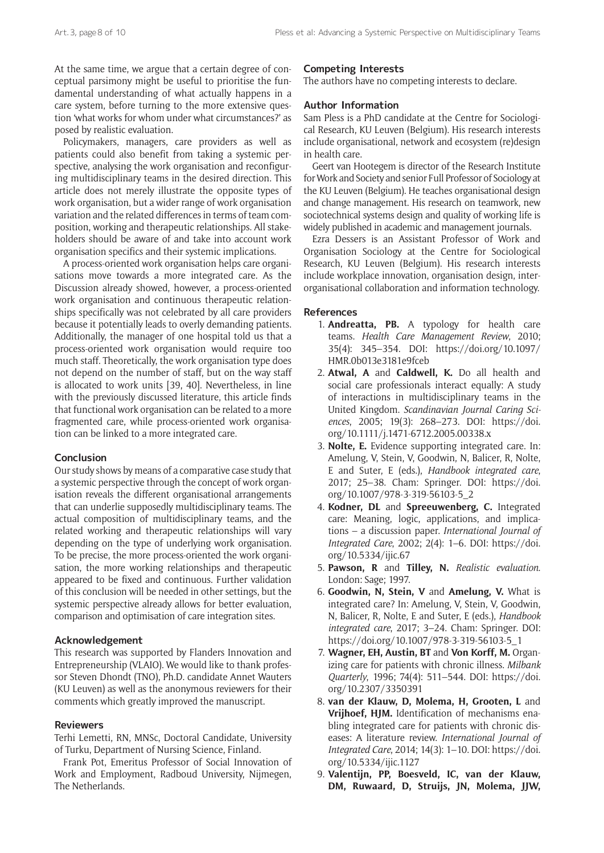At the same time, we argue that a certain degree of conceptual parsimony might be useful to prioritise the fundamental understanding of what actually happens in a care system, before turning to the more extensive question 'what works for whom under what circumstances?' as posed by realistic evaluation.

Policymakers, managers, care providers as well as patients could also benefit from taking a systemic perspective, analysing the work organisation and reconfiguring multidisciplinary teams in the desired direction. This article does not merely illustrate the opposite types of work organisation, but a wider range of work organisation variation and the related differences in terms of team composition, working and therapeutic relationships. All stakeholders should be aware of and take into account work organisation specifics and their systemic implications.

A process-oriented work organisation helps care organisations move towards a more integrated care. As the Discussion already showed, however, a process-oriented work organisation and continuous therapeutic relationships specifically was not celebrated by all care providers because it potentially leads to overly demanding patients. Additionally, the manager of one hospital told us that a process-oriented work organisation would require too much staff. Theoretically, the work organisation type does not depend on the number of staff, but on the way staff is allocated to work units [39, 40]. Nevertheless, in line with the previously discussed literature, this article finds that functional work organisation can be related to a more fragmented care, while process-oriented work organisation can be linked to a more integrated care.

# **Conclusion**

Our study shows by means of a comparative case study that a systemic perspective through the concept of work organisation reveals the different organisational arrangements that can underlie supposedly multidisciplinary teams. The actual composition of multidisciplinary teams, and the related working and therapeutic relationships will vary depending on the type of underlying work organisation. To be precise, the more process-oriented the work organisation, the more working relationships and therapeutic appeared to be fixed and continuous. Further validation of this conclusion will be needed in other settings, but the systemic perspective already allows for better evaluation, comparison and optimisation of care integration sites.

# **Acknowledgement**

This research was supported by Flanders Innovation and Entrepreneurship (VLAIO). We would like to thank professor Steven Dhondt (TNO), Ph.D. candidate Annet Wauters (KU Leuven) as well as the anonymous reviewers for their comments which greatly improved the manuscript.

## **Reviewers**

Terhi Lemetti, RN, MNSc, Doctoral Candidate, University of Turku, Department of Nursing Science, Finland.

Frank Pot, Emeritus Professor of Social Innovation of Work and Employment, Radboud University, Nijmegen, The Netherlands.

#### **Competing Interests**

The authors have no competing interests to declare.

#### **Author Information**

Sam Pless is a PhD candidate at the Centre for Sociological Research, KU Leuven (Belgium). His research interests include organisational, network and ecosystem (re)design in health care.

Geert van Hootegem is director of the Research Institute for Work and Society and senior Full Professor of Sociology at the KU Leuven (Belgium). He teaches organisational design and change management. His research on teamwork, new sociotechnical systems design and quality of working life is widely published in academic and management journals.

Ezra Dessers is an Assistant Professor of Work and Organisation Sociology at the Centre for Sociological Research, KU Leuven (Belgium). His research interests include workplace innovation, organisation design, interorganisational collaboration and information technology.

#### **References**

- 1. **Andreatta, PB.** A typology for health care teams. *Health Care Management Review*, 2010; 35(4): 345–354. DOI: [https://doi.org/10.1097/](https://doi.org/10.1097/HMR.0b013e3181e9fceb) [HMR.0b013e3181e9fceb](https://doi.org/10.1097/HMR.0b013e3181e9fceb)
- 2. **Atwal, A** and **Caldwell, K.** Do all health and social care professionals interact equally: A study of interactions in multidisciplinary teams in the United Kingdom. *Scandinavian Journal Caring Sciences*, 2005; 19(3): 268–273. DOI: [https://doi.](https://doi.org/10.1111/j.1471-6712.2005.00338.x) [org/10.1111/j.1471-6712.2005.00338.x](https://doi.org/10.1111/j.1471-6712.2005.00338.x)
- 3. **Nolte, E.** Evidence supporting integrated care. In: Amelung, V, Stein, V, Goodwin, N, Balicer, R, Nolte, E and Suter, E (eds.), *Handbook integrated care*, 2017; 25–38. Cham: Springer. DOI: [https://doi.](https://doi.org/10.1007/978-3-319-56103-5_2) [org/10.1007/978-3-319-56103-5\\_2](https://doi.org/10.1007/978-3-319-56103-5_2)
- 4. **Kodner, DL** and **Spreeuwenberg, C.** Integrated care: Meaning, logic, applications, and implications – a discussion paper. *International Journal of Integrated Care*, 2002; 2(4): 1–6. DOI: [https://doi.](https://doi.org/10.5334/ijic.67) [org/10.5334/ijic.67](https://doi.org/10.5334/ijic.67)
- 5. **Pawson, R** and **Tilley, N.** *Realistic evaluation*. London: Sage; 1997.
- 6. **Goodwin, N, Stein, V** and **Amelung, V.** What is integrated care? In: Amelung, V, Stein, V, Goodwin, N, Balicer, R, Nolte, E and Suter, E (eds.), *Handbook integrated care*, 2017; 3–24. Cham: Springer. DOI: [https://doi.org/10.1007/978-3-319-56103-5\\_1](https://doi.org/10.1007/978-3-319-56103-5_1)
- 7. **Wagner, EH, Austin, BT** and **Von Korff, M.** Organizing care for patients with chronic illness. *Milbank Quarterly*, 1996; 74(4): 511–544. DOI: [https://doi.](https://doi.org/10.2307/3350391) [org/10.2307/3350391](https://doi.org/10.2307/3350391)
- 8. **van der Klauw, D, Molema, H, Grooten, L** and **Vrijhoef, HJM.** Identification of mechanisms enabling integrated care for patients with chronic diseases: A literature review. *International Journal of Integrated Care*, 2014; 14(3): 1–10. DOI: [https://doi.](https://doi.org/10.5334/ijic.1127) [org/10.5334/ijic.1127](https://doi.org/10.5334/ijic.1127)
- 9. **Valentijn, PP, Boesveld, IC, van der Klauw, DM, Ruwaard, D, Struijs, JN, Molema, JJW,**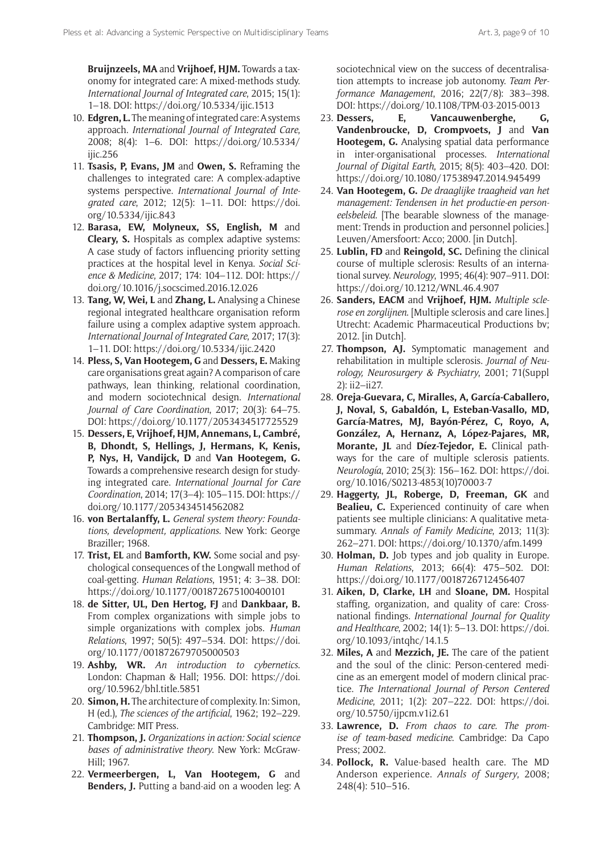**Bruijnzeels, MA** and **Vrijhoef, HJM.** Towards a taxonomy for integrated care: A mixed-methods study. *International Journal of Integrated care*, 2015; 15(1): 1–18. DOI:<https://doi.org/10.5334/ijic.1513>

- 10. **Edgren, L.** The meaning of integrated care: A systems approach. *International Journal of Integrated Care*, 2008; 8(4): 1–6. DOI: [https://doi.org/10.5334/](https://doi.org/10.5334/ijic.256) [ijic.256](https://doi.org/10.5334/ijic.256)
- 11. **Tsasis, P, Evans, JM** and **Owen, S.** Reframing the challenges to integrated care: A complex-adaptive systems perspective. *International Journal of Integrated care*, 2012; 12(5): 1–11. DOI: [https://doi.](https://doi.org/10.5334/ijic.843) [org/10.5334/ijic.843](https://doi.org/10.5334/ijic.843)
- 12. **Barasa, EW, Molyneux, SS, English, M** and **Cleary, S.** Hospitals as complex adaptive systems: A case study of factors influencing priority setting practices at the hospital level in Kenya. *Social Science & Medicine*, 2017; 174: 104–112. DOI: [https://](https://doi.org/10.1016/j.socscimed.2016.12.026) [doi.org/10.1016/j.socscimed.2016.12.026](https://doi.org/10.1016/j.socscimed.2016.12.026)
- 13. **Tang, W, Wei, L** and **Zhang, L.** Analysing a Chinese regional integrated healthcare organisation reform failure using a complex adaptive system approach. *International Journal of Integrated Care*, 2017; 17(3): 1–11. DOI: <https://doi.org/10.5334/ijic.2420>
- 14. **Pless, S, Van Hootegem, G** and **Dessers, E.** Making care organisations great again? A comparison of care pathways, lean thinking, relational coordination, and modern sociotechnical design. *International Journal of Care Coordination*, 2017; 20(3): 64–75. DOI:<https://doi.org/10.1177/2053434517725529>
- 15. **Dessers, E, Vrijhoef, HJM, Annemans, L, Cambré, B, Dhondt, S, Hellings, J, Hermans, K, Kenis, P, Nys, H, Vandijck, D** and **Van Hootegem, G.** Towards a comprehensive research design for studying integrated care. *International Journal for Care Coordination*, 2014; 17(3–4): 105–115. DOI: [https://](https://doi.org/10.1177/2053434514562082) [doi.org/10.1177/2053434514562082](https://doi.org/10.1177/2053434514562082)
- 16. **von Bertalanffy, L.** *General system theory: Foundations, development, applications*. New York: George Braziller; 1968.
- 17. **Trist, EL** and **Bamforth, KW.** Some social and psychological consequences of the Longwall method of coal-getting. *Human Relations*, 1951; 4: 3–38. DOI: <https://doi.org/10.1177/001872675100400101>
- 18. **de Sitter, UL, Den Hertog, FJ** and **Dankbaar, B.** From complex organizations with simple jobs to simple organizations with complex jobs. *Human Relations*, 1997; 50(5): 497–534. DOI: [https://doi.](https://doi.org/10.1177/001872679705000503) [org/10.1177/001872679705000503](https://doi.org/10.1177/001872679705000503)
- 19. **Ashby, WR.** *An introduction to cybernetics*. London: Chapman & Hall; 1956. DOI: [https://doi.](https://doi.org/10.5962/bhl.title.5851) [org/10.5962/bhl.title.5851](https://doi.org/10.5962/bhl.title.5851)
- 20. **Simon, H.** The architecture of complexity. In: Simon, H (ed.), *The sciences of the artificial*, 1962; 192–229. Cambridge: MIT Press.
- 21. **Thompson, J.** *Organizations in action: Social science bases of administrative theory*. New York: McGraw-Hill; 1967.
- 22. **Vermeerbergen, L, Van Hootegem, G** and **Benders, J.** Putting a band-aid on a wooden leg: A

sociotechnical view on the success of decentralisation attempts to increase job autonomy. *Team Performance Management*, 2016; 22(7/8): 383–398. DOI: <https://doi.org/10.1108/TPM-03-2015-0013>

- 23. **Dessers, E, Vancauwenberghe, G, Vandenbroucke, D, Crompvoets, J** and **Van Hootegem, G.** Analysing spatial data performance in inter-organisational processes. *International Journal of Digital Earth*, 2015; 8(5): 403–420. DOI: <https://doi.org/10.1080/17538947.2014.945499>
- 24. **Van Hootegem, G.** *De draaglijke traagheid van het management: Tendensen in het productie-en personeelsbeleid*. [The bearable slowness of the management: Trends in production and personnel policies.] Leuven/Amersfoort: Acco; 2000. [in Dutch].
- 25. **Lublin, FD** and **Reingold, SC.** Defining the clinical course of multiple sclerosis: Results of an international survey. *Neurology*, 1995; 46(4): 907–911. DOI: <https://doi.org/10.1212/WNL.46.4.907>
- 26. **Sanders, EACM** and **Vrijhoef, HJM.** *Multiple sclerose en zorglijnen*. [Multiple sclerosis and care lines.] Utrecht: Academic Pharmaceutical Productions bv; 2012. [in Dutch].
- 27. **Thompson, AJ.** Symptomatic management and rehabilitation in multiple sclerosis. *Journal of Neurology, Neurosurgery & Psychiatry*, 2001; 71(Suppl 2): ii2–ii27.
- 28. **Oreja-Guevara, C, Miralles, A, García-Caballero, J, Noval, S, Gabaldón, L, Esteban-Vasallo, MD, García-Matres, MJ, Bayón-Pérez, C, Royo, A, González, A, Hernanz, A, López-Pajares, MR, Morante, JL** and **Díez-Tejedor, E.** Clinical pathways for the care of multiple sclerosis patients. *Neurología*, 2010; 25(3): 156–162. DOI: [https://doi.](https://doi.org/10.1016/S0213-4853(10)70003-7) [org/10.1016/S0213-4853\(10\)70003-7](https://doi.org/10.1016/S0213-4853(10)70003-7)
- 29. **Haggerty, JL, Roberge, D, Freeman, GK** and **Bealieu, C.** Experienced continuity of care when patients see multiple clinicians: A qualitative metasummary. *Annals of Family Medicine*, 2013; 11(3): 262–271. DOI:<https://doi.org/10.1370/afm.1499>
- 30. **Holman, D.** Job types and job quality in Europe. *Human Relations*, 2013; 66(4): 475–502. DOI: <https://doi.org/10.1177/0018726712456407>
- 31. **Aiken, D, Clarke, LH** and **Sloane, DM.** Hospital staffing, organization, and quality of care: Crossnational findings. *International Journal for Quality and Healthcare*, 2002; 14(1): 5–13. DOI: [https://doi.](https://doi.org/10.1093/intqhc/14.1.5) [org/10.1093/intqhc/14.1.5](https://doi.org/10.1093/intqhc/14.1.5)
- 32. **Miles, A** and **Mezzich, JE.** The care of the patient and the soul of the clinic: Person-centered medicine as an emergent model of modern clinical practice. *The International Journal of Person Centered Medicine*, 2011; 1(2): 207–222. DOI: [https://doi.](https://doi.org/10.5750/ijpcm.v1i2.61) [org/10.5750/ijpcm.v1i2.61](https://doi.org/10.5750/ijpcm.v1i2.61)
- 33. **Lawrence, D.** *From chaos to care. The promise of team-based medicine*. Cambridge: Da Capo Press; 2002.
- 34. **Pollock, R.** Value-based health care. The MD Anderson experience. *Annals of Surgery*, 2008; 248(4): 510–516.